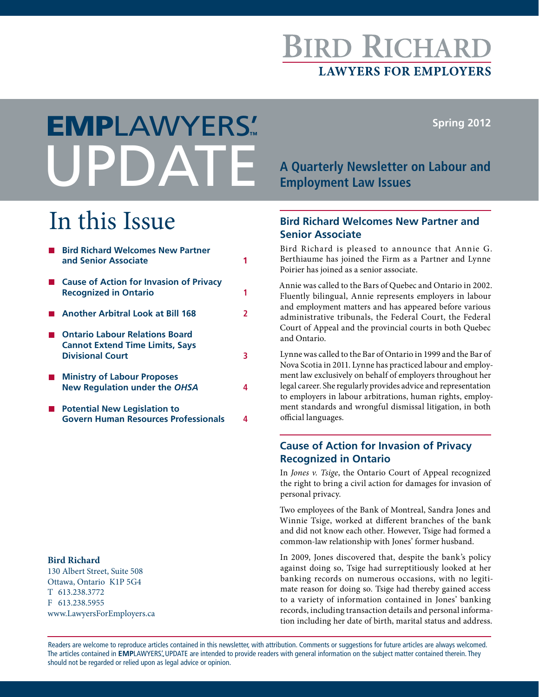### **BIRD RICHARI LAWYERS FOR EMPLOYERS**

**Spring 2012**

# **A Quarterly Newsletter on Labour and Employment Law Issues** EMPLAWYERS'**™**

## In this Issue

| <b>Bird Richard Welcomes New Partner</b><br>and Senior Associate                                           |               |
|------------------------------------------------------------------------------------------------------------|---------------|
| <b>Cause of Action for Invasion of Privacy</b><br><b>Recognized in Ontario</b>                             |               |
| <b>Another Arbitral Look at Bill 168</b>                                                                   | $\mathcal{P}$ |
| <b>Ontario Labour Relations Board</b><br><b>Cannot Extend Time Limits, Says</b><br><b>Divisional Court</b> | з             |
| <b>Ministry of Labour Proposes</b><br><b>New Regulation under the OHSA</b>                                 | 4             |
| <b>Potential New Legislation to</b><br><b>Govern Human Resources Professionals</b>                         |               |

#### **Bird Richard**

130 Albert Street, Suite 508 Ottawa, Ontario K1P 5G4 T 613.238.3772 F 613.238.5955 www.LawyersForEmployers.ca

#### **Bird Richard Welcomes New Partner and Senior Associate**

Bird Richard is pleased to announce that Annie G. Berthiaume has joined the Firm as a Partner and Lynne Poirier has joined as a senior associate.

Annie was called to the Bars of Quebec and Ontario in 2002. Fluently bilingual, Annie represents employers in labour and employment matters and has appeared before various administrative tribunals, the Federal Court, the Federal Court of Appeal and the provincial courts in both Quebec and Ontario.

Lynne was called to the Bar of Ontario in 1999 and the Bar of Nova Scotia in 2011. Lynne has practiced labour and employment law exclusively on behalf of employers throughout her legal career. She regularly provides advice and representation to employers in labour arbitrations, human rights, employment standards and wrongful dismissal litigation, in both official languages.

#### **Cause of Action for Invasion of Privacy Recognized in Ontario**

In *Jones v. Tsige*, the Ontario Court of Appeal recognized the right to bring a civil action for damages for invasion of personal privacy.

Two employees of the Bank of Montreal, Sandra Jones and Winnie Tsige, worked at different branches of the bank and did not know each other. However, Tsige had formed a common-law relationship with Jones' former husband.

In 2009, Jones discovered that, despite the bank's policy against doing so, Tsige had surreptitiously looked at her banking records on numerous occasions, with no legitimate reason for doing so. Tsige had thereby gained access to a variety of information contained in Jones' banking records, including transaction details and personal information including her date of birth, marital status and address.

Readers are welcome to reproduce articles contained in this newsletter, with attribution. Comments or suggestions for future articles are always welcomed. The articles contained in EMPLAWYERS'. UPDATE are intended to provide readers with general information on the subject matter contained therein. They should not be regarded or relied upon as legal advice or opinion.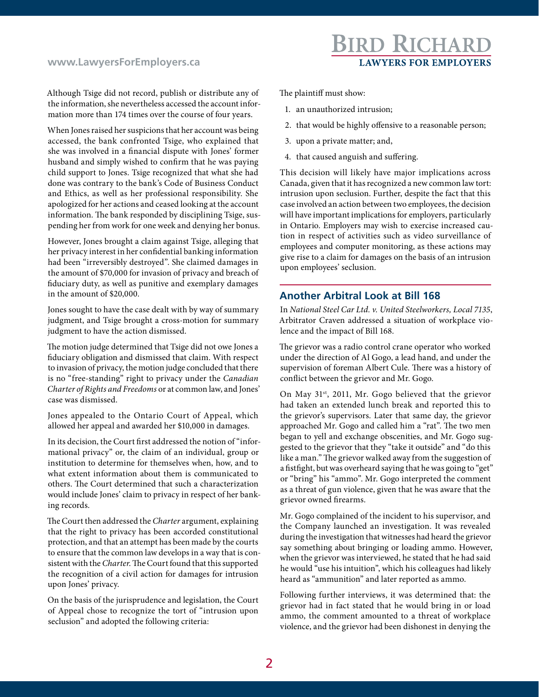**BIRD RICHARD LAWYERS FOR EMPLOYERS** 

Although Tsige did not record, publish or distribute any of the information, she nevertheless accessed the account information more than 174 times over the course of four years.

When Jones raised her suspicions that her account was being accessed, the bank confronted Tsige, who explained that she was involved in a financial dispute with Jones' former husband and simply wished to confirm that he was paying child support to Jones. Tsige recognized that what she had done was contrary to the bank's Code of Business Conduct and Ethics, as well as her professional responsibility. She apologized for her actions and ceased looking at the account information. The bank responded by disciplining Tsige, suspending her from work for one week and denying her bonus.

However, Jones brought a claim against Tsige, alleging that her privacy interest in her confidential banking information had been "irreversibly destroyed". She claimed damages in the amount of \$70,000 for invasion of privacy and breach of fiduciary duty, as well as punitive and exemplary damages in the amount of \$20,000.

Jones sought to have the case dealt with by way of summary judgment, and Tsige brought a cross-motion for summary judgment to have the action dismissed.

The motion judge determined that Tsige did not owe Jones a fiduciary obligation and dismissed that claim. With respect to invasion of privacy, the motion judge concluded that there is no "free-standing" right to privacy under the *Canadian Charter of Rights and Freedoms* or at common law, and Jones' case was dismissed.

Jones appealed to the Ontario Court of Appeal, which allowed her appeal and awarded her \$10,000 in damages.

In its decision, the Court first addressed the notion of "informational privacy" or, the claim of an individual, group or institution to determine for themselves when, how, and to what extent information about them is communicated to others. The Court determined that such a characterization would include Jones' claim to privacy in respect of her banking records.

The Court then addressed the *Charter* argument, explaining that the right to privacy has been accorded constitutional protection, and that an attempt has been made by the courts to ensure that the common law develops in a way that is consistent with the *Charter*. The Court found that this supported the recognition of a civil action for damages for intrusion upon Jones' privacy.

On the basis of the jurisprudence and legislation, the Court of Appeal chose to recognize the tort of "intrusion upon seclusion" and adopted the following criteria:

The plaintiff must show:

- 1. an unauthorized intrusion;
- 2. that would be highly offensive to a reasonable person;
- 3. upon a private matter; and,
- 4. that caused anguish and suffering.

This decision will likely have major implications across Canada, given that it has recognized a new common law tort: intrusion upon seclusion. Further, despite the fact that this case involved an action between two employees, the decision will have important implications for employers, particularly in Ontario. Employers may wish to exercise increased caution in respect of activities such as video surveillance of employees and computer monitoring, as these actions may give rise to a claim for damages on the basis of an intrusion upon employees' seclusion.

#### **Another Arbitral Look at Bill 168**

In *National Steel Car Ltd. v. United Steelworkers, Local 7135*, Arbitrator Craven addressed a situation of workplace violence and the impact of Bill 168.

The grievor was a radio control crane operator who worked under the direction of Al Gogo, a lead hand, and under the supervision of foreman Albert Cule. There was a history of conflict between the grievor and Mr. Gogo.

On May 31st, 2011, Mr. Gogo believed that the grievor had taken an extended lunch break and reported this to the grievor's supervisors. Later that same day, the grievor approached Mr. Gogo and called him a "rat". The two men began to yell and exchange obscenities, and Mr. Gogo suggested to the grievor that they "take it outside" and "do this like a man." The grievor walked away from the suggestion of a fistfight, but was overheard saying that he was going to "get" or "bring" his "ammo". Mr. Gogo interpreted the comment as a threat of gun violence, given that he was aware that the grievor owned firearms.

Mr. Gogo complained of the incident to his supervisor, and the Company launched an investigation. It was revealed during the investigation that witnesses had heard the grievor say something about bringing or loading ammo. However, when the grievor was interviewed, he stated that he had said he would "use his intuition", which his colleagues had likely heard as "ammunition" and later reported as ammo.

Following further interviews, it was determined that: the grievor had in fact stated that he would bring in or load ammo, the comment amounted to a threat of workplace violence, and the grievor had been dishonest in denying the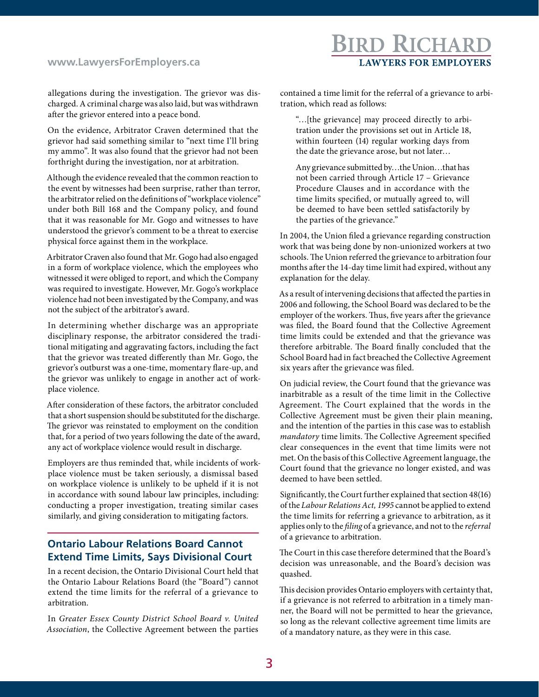### **BIRD RICHARD LAWYERS FOR EMPLOYERS**

allegations during the investigation. The grievor was discharged. A criminal charge was also laid, but was withdrawn after the grievor entered into a peace bond.

On the evidence, Arbitrator Craven determined that the grievor had said something similar to "next time I'll bring my ammo". It was also found that the grievor had not been forthright during the investigation, nor at arbitration.

Although the evidence revealed that the common reaction to the event by witnesses had been surprise, rather than terror, the arbitrator relied on the definitions of "workplace violence" under both Bill 168 and the Company policy, and found that it was reasonable for Mr. Gogo and witnesses to have understood the grievor's comment to be a threat to exercise physical force against them in the workplace.

Arbitrator Craven also found that Mr. Gogo had also engaged in a form of workplace violence, which the employees who witnessed it were obliged to report, and which the Company was required to investigate. However, Mr. Gogo's workplace violence had not been investigated by the Company, and was not the subject of the arbitrator's award.

In determining whether discharge was an appropriate disciplinary response, the arbitrator considered the traditional mitigating and aggravating factors, including the fact that the grievor was treated differently than Mr. Gogo, the grievor's outburst was a one-time, momentary flare-up, and the grievor was unlikely to engage in another act of workplace violence.

After consideration of these factors, the arbitrator concluded that a short suspension should be substituted for the discharge. The grievor was reinstated to employment on the condition that, for a period of two years following the date of the award, any act of workplace violence would result in discharge.

Employers are thus reminded that, while incidents of workplace violence must be taken seriously, a dismissal based on workplace violence is unlikely to be upheld if it is not in accordance with sound labour law principles, including: conducting a proper investigation, treating similar cases similarly, and giving consideration to mitigating factors.

#### **Ontario Labour Relations Board Cannot Extend Time Limits, Says Divisional Court**

In a recent decision, the Ontario Divisional Court held that the Ontario Labour Relations Board (the "Board") cannot extend the time limits for the referral of a grievance to arbitration.

In *Greater Essex County District School Board v. United Association*, the Collective Agreement between the parties contained a time limit for the referral of a grievance to arbitration, which read as follows:

"…[the grievance] may proceed directly to arbitration under the provisions set out in Article 18, within fourteen (14) regular working days from the date the grievance arose, but not later…

Any grievance submitted by…the Union…that has not been carried through Article 17 – Grievance Procedure Clauses and in accordance with the time limits specified, or mutually agreed to, will be deemed to have been settled satisfactorily by the parties of the grievance."

In 2004, the Union filed a grievance regarding construction work that was being done by non-unionized workers at two schools. The Union referred the grievance to arbitration four months after the 14-day time limit had expired, without any explanation for the delay.

As a result of intervening decisions that affected the parties in 2006 and following, the School Board was declared to be the employer of the workers. Thus, five years after the grievance was filed, the Board found that the Collective Agreement time limits could be extended and that the grievance was therefore arbitrable. The Board finally concluded that the School Board had in fact breached the Collective Agreement six years after the grievance was filed.

On judicial review, the Court found that the grievance was inarbitrable as a result of the time limit in the Collective Agreement. The Court explained that the words in the Collective Agreement must be given their plain meaning, and the intention of the parties in this case was to establish *mandatory* time limits. The Collective Agreement specified clear consequences in the event that time limits were not met. On the basis of this Collective Agreement language, the Court found that the grievance no longer existed, and was deemed to have been settled.

Significantly, the Court further explained that section 48(16) of the *Labour Relations Act, 1995* cannot be applied to extend the time limits for referring a grievance to arbitration, as it applies only to the *filing* of a grievance, and not to the *referral* of a grievance to arbitration.

The Court in this case therefore determined that the Board's decision was unreasonable, and the Board's decision was quashed.

This decision provides Ontario employers with certainty that, if a grievance is not referred to arbitration in a timely manner, the Board will not be permitted to hear the grievance, so long as the relevant collective agreement time limits are of a mandatory nature, as they were in this case.